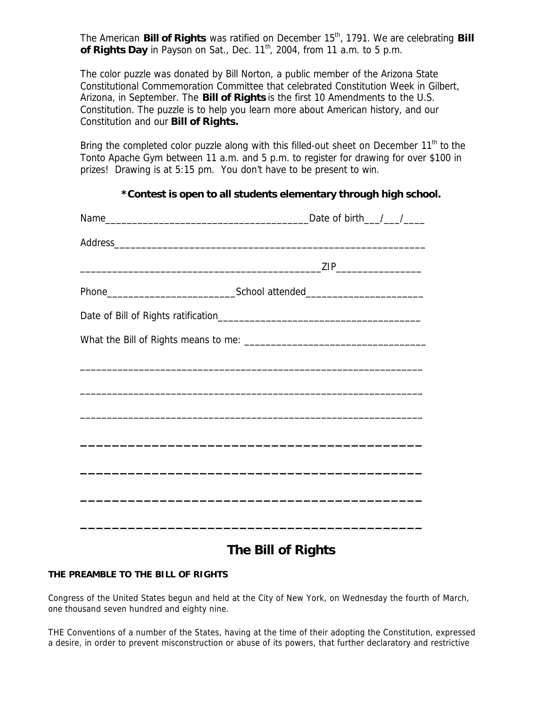The American **Bill of Rights** was ratified on December 15<sup>th</sup>, 1791. We are celebrating **Bill** of Rights Day in Payson on Sat., Dec. 11<sup>th</sup>, 2004, from 11 a.m. to 5 p.m.

The color puzzle was donated by Bill Norton, a public member of the Arizona State Constitutional Commemoration Committee that celebrated Constitution Week in Gilbert, Arizona, in September. The **Bill of Rights** is the first 10 Amendments to the U.S. Constitution. The puzzle is to help you learn more about American history, and our Constitution and our **Bill of Rights.**

Bring the completed color puzzle along with this filled-out sheet on December 11<sup>th</sup> to the Tonto Apache Gym between 11 a.m. and 5 p.m. to register for drawing for over \$100 in prizes! Drawing is at 5:15 pm. You don't have to be present to win.

## *\*Contest is open to all students elementary through high school.*

|  | Address experience and the contract of the contract of the contract of the contract of the contract of the contract of the contract of the contract of the contract of the contract of the contract of the contract of the con |
|--|--------------------------------------------------------------------------------------------------------------------------------------------------------------------------------------------------------------------------------|
|  |                                                                                                                                                                                                                                |
|  |                                                                                                                                                                                                                                |
|  |                                                                                                                                                                                                                                |
|  |                                                                                                                                                                                                                                |
|  | ,我们也不会有什么。""我们的人,我们也不会有什么?""我们的人,我们也不会有什么?""我们的人,我们也不会有什么?""我们的人,我们也不会有什么?""我们的人                                                                                                                                               |
|  |                                                                                                                                                                                                                                |
|  | <u> 1989 - Johann John Harry Harry Harry Harry Harry Harry Harry Harry Harry Harry Harry Harry Harry Harry Harry</u>                                                                                                           |
|  |                                                                                                                                                                                                                                |
|  |                                                                                                                                                                                                                                |
|  |                                                                                                                                                                                                                                |
|  |                                                                                                                                                                                                                                |
|  |                                                                                                                                                                                                                                |

## **The Bill of Rights**

## **THE PREAMBLE TO THE BILL OF RIGHTS**

Congress of the United States begun and held at the City of New York, on Wednesday the fourth of March, one thousand seven hundred and eighty nine.

THE Conventions of a number of the States, having at the time of their adopting the Constitution, expressed a desire, in order to prevent misconstruction or abuse of its powers, that further declaratory and restrictive